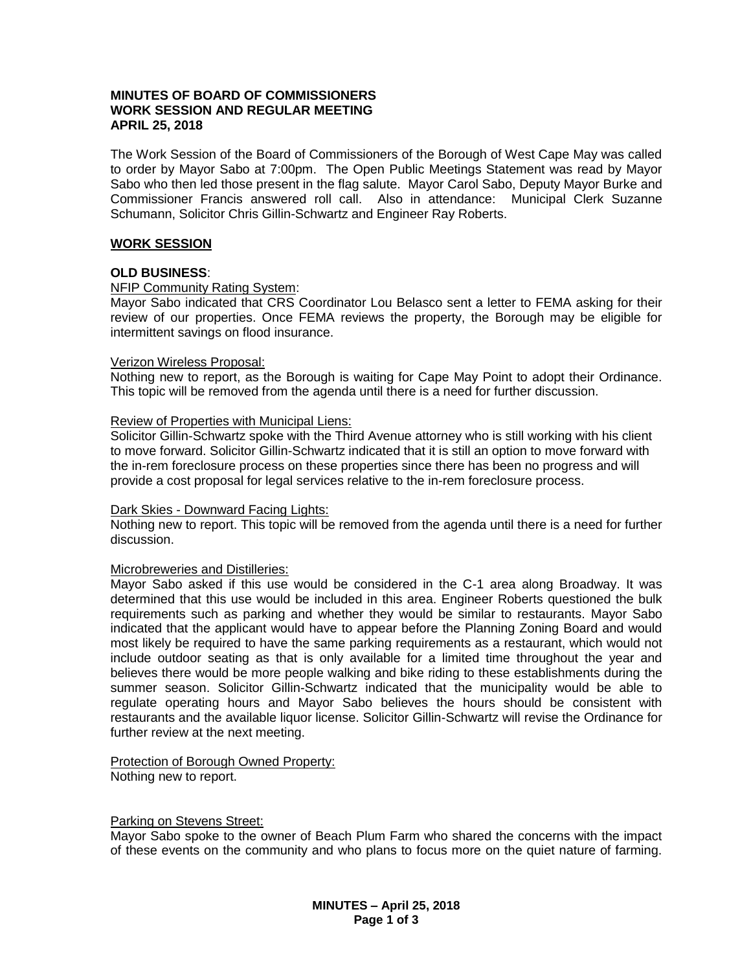# **MINUTES OF BOARD OF COMMISSIONERS WORK SESSION AND REGULAR MEETING APRIL 25, 2018**

The Work Session of the Board of Commissioners of the Borough of West Cape May was called to order by Mayor Sabo at 7:00pm. The Open Public Meetings Statement was read by Mayor Sabo who then led those present in the flag salute. Mayor Carol Sabo, Deputy Mayor Burke and Commissioner Francis answered roll call. Also in attendance: Municipal Clerk Suzanne Schumann, Solicitor Chris Gillin-Schwartz and Engineer Ray Roberts.

## **WORK SESSION**

## **OLD BUSINESS**:

## NFIP Community Rating System:

Mayor Sabo indicated that CRS Coordinator Lou Belasco sent a letter to FEMA asking for their review of our properties. Once FEMA reviews the property, the Borough may be eligible for intermittent savings on flood insurance.

#### Verizon Wireless Proposal:

Nothing new to report, as the Borough is waiting for Cape May Point to adopt their Ordinance. This topic will be removed from the agenda until there is a need for further discussion.

## Review of Properties with Municipal Liens:

Solicitor Gillin-Schwartz spoke with the Third Avenue attorney who is still working with his client to move forward. Solicitor Gillin-Schwartz indicated that it is still an option to move forward with the in-rem foreclosure process on these properties since there has been no progress and will provide a cost proposal for legal services relative to the in-rem foreclosure process.

#### Dark Skies - Downward Facing Lights:

Nothing new to report. This topic will be removed from the agenda until there is a need for further discussion.

# Microbreweries and Distilleries:

Mayor Sabo asked if this use would be considered in the C-1 area along Broadway. It was determined that this use would be included in this area. Engineer Roberts questioned the bulk requirements such as parking and whether they would be similar to restaurants. Mayor Sabo indicated that the applicant would have to appear before the Planning Zoning Board and would most likely be required to have the same parking requirements as a restaurant, which would not include outdoor seating as that is only available for a limited time throughout the year and believes there would be more people walking and bike riding to these establishments during the summer season. Solicitor Gillin-Schwartz indicated that the municipality would be able to regulate operating hours and Mayor Sabo believes the hours should be consistent with restaurants and the available liquor license. Solicitor Gillin-Schwartz will revise the Ordinance for further review at the next meeting.

#### Protection of Borough Owned Property: Nothing new to report.

#### Parking on Stevens Street:

Mayor Sabo spoke to the owner of Beach Plum Farm who shared the concerns with the impact of these events on the community and who plans to focus more on the quiet nature of farming.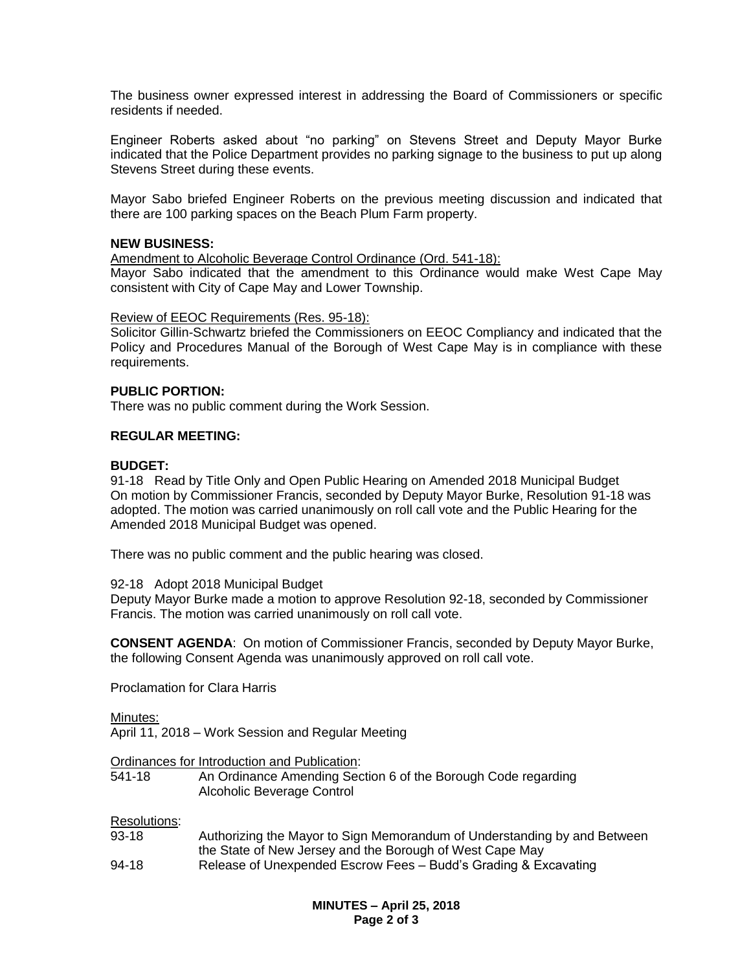The business owner expressed interest in addressing the Board of Commissioners or specific residents if needed.

Engineer Roberts asked about "no parking" on Stevens Street and Deputy Mayor Burke indicated that the Police Department provides no parking signage to the business to put up along Stevens Street during these events.

Mayor Sabo briefed Engineer Roberts on the previous meeting discussion and indicated that there are 100 parking spaces on the Beach Plum Farm property.

## **NEW BUSINESS:**

Amendment to Alcoholic Beverage Control Ordinance (Ord. 541-18):

Mayor Sabo indicated that the amendment to this Ordinance would make West Cape May consistent with City of Cape May and Lower Township.

## Review of EEOC Requirements (Res. 95-18):

Solicitor Gillin-Schwartz briefed the Commissioners on EEOC Compliancy and indicated that the Policy and Procedures Manual of the Borough of West Cape May is in compliance with these requirements.

## **PUBLIC PORTION:**

There was no public comment during the Work Session.

## **REGULAR MEETING:**

## **BUDGET:**

91-18 Read by Title Only and Open Public Hearing on Amended 2018 Municipal Budget On motion by Commissioner Francis, seconded by Deputy Mayor Burke, Resolution 91-18 was adopted. The motion was carried unanimously on roll call vote and the Public Hearing for the Amended 2018 Municipal Budget was opened.

There was no public comment and the public hearing was closed.

#### 92-18 Adopt 2018 Municipal Budget

Deputy Mayor Burke made a motion to approve Resolution 92-18, seconded by Commissioner Francis. The motion was carried unanimously on roll call vote.

**CONSENT AGENDA**: On motion of Commissioner Francis, seconded by Deputy Mayor Burke, the following Consent Agenda was unanimously approved on roll call vote.

Proclamation for Clara Harris

Minutes:

April 11, 2018 – Work Session and Regular Meeting

# Ordinances for Introduction and Publication:<br>541-18 An Ordinance Amending Sec

An Ordinance Amending Section 6 of the Borough Code regarding Alcoholic Beverage Control

#### Resolutions:

- 93-18 Authorizing the Mayor to Sign Memorandum of Understanding by and Between the State of New Jersey and the Borough of West Cape May
- 94-18 Release of Unexpended Escrow Fees Budd's Grading & Excavating